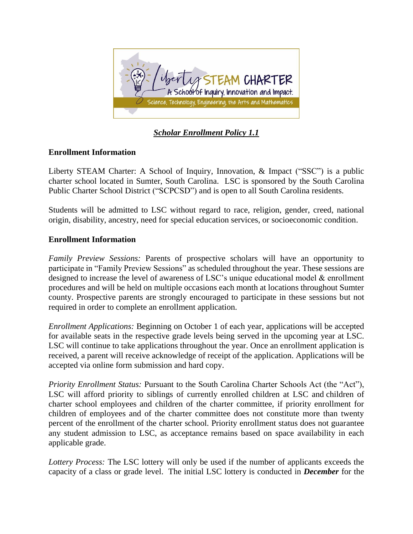

*Scholar Enrollment Policy 1.1*

## **Enrollment Information**

Liberty STEAM Charter: A School of Inquiry, Innovation, & Impact ("SSC") is a public charter school located in Sumter, South Carolina. LSC is sponsored by the South Carolina Public Charter School District ("SCPCSD") and is open to all South Carolina residents.

Students will be admitted to LSC without regard to race, religion, gender, creed, national origin, disability, ancestry, need for special education services, or socioeconomic condition.

## **Enrollment Information**

*Family Preview Sessions:* Parents of prospective scholars will have an opportunity to participate in "Family Preview Sessions" as scheduled throughout the year. These sessions are designed to increase the level of awareness of LSC's unique educational model & enrollment procedures and will be held on multiple occasions each month at locations throughout Sumter county. Prospective parents are strongly encouraged to participate in these sessions but not required in order to complete an enrollment application.

*Enrollment Applications:* Beginning on October 1 of each year, applications will be accepted for available seats in the respective grade levels being served in the upcoming year at LSC. LSC will continue to take applications throughout the year. Once an enrollment application is received, a parent will receive acknowledge of receipt of the application. Applications will be accepted via online form submission and hard copy.

*Priority Enrollment Status: Pursuant to the South Carolina Charter Schools Act (the "Act"),* LSC will afford priority to siblings of currently enrolled children at LSC and children of charter school employees and children of the charter committee, if priority enrollment for children of employees and of the charter committee does not constitute more than twenty percent of the enrollment of the charter school. Priority enrollment status does not guarantee any student admission to LSC, as acceptance remains based on space availability in each applicable grade.

*Lottery Process:* The LSC lottery will only be used if the number of applicants exceeds the capacity of a class or grade level. The initial LSC lottery is conducted in *December* for the